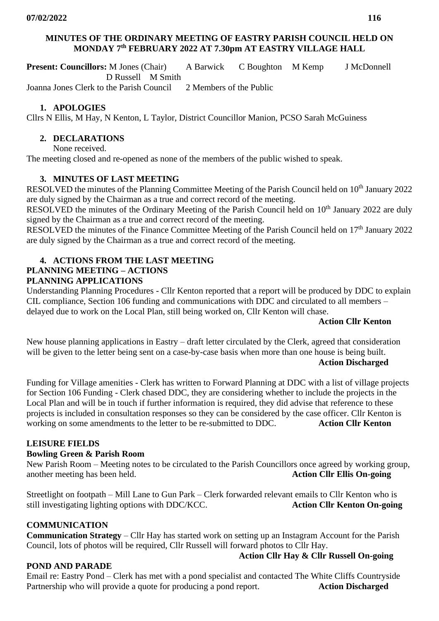## **MINUTES OF THE ORDINARY MEETING OF EASTRY PARISH COUNCIL HELD ON MONDAY 7 th FEBRUARY 2022 AT 7.30pm AT EASTRY VILLAGE HALL**

**Present: Councillors:** M Jones (Chair) A Barwick C Boughton M Kemp J McDonnell D Russell M Smith

Joanna Jones Clerk to the Parish Council 2 Members of the Public

## **1. APOLOGIES**

Cllrs N Ellis, M Hay, N Kenton, L Taylor, District Councillor Manion, PCSO Sarah McGuiness

### **2. DECLARATIONS**

None received.

The meeting closed and re-opened as none of the members of the public wished to speak.

## **3. MINUTES OF LAST MEETING**

RESOLVED the minutes of the Planning Committee Meeting of the Parish Council held on 10<sup>th</sup> January 2022 are duly signed by the Chairman as a true and correct record of the meeting.

RESOLVED the minutes of the Ordinary Meeting of the Parish Council held on 10<sup>th</sup> January 2022 are duly signed by the Chairman as a true and correct record of the meeting.

RESOLVED the minutes of the Finance Committee Meeting of the Parish Council held on 17<sup>th</sup> January 2022 are duly signed by the Chairman as a true and correct record of the meeting.

# **4. ACTIONS FROM THE LAST MEETING**

# **PLANNING MEETING – ACTIONS**

## **PLANNING APPLICATIONS**

Understanding Planning Procedures - Cllr Kenton reported that a report will be produced by DDC to explain CIL compliance, Section 106 funding and communications with DDC and circulated to all members – delayed due to work on the Local Plan, still being worked on, Cllr Kenton will chase.

#### **Action Cllr Kenton**

New house planning applications in Eastry – draft letter circulated by the Clerk, agreed that consideration will be given to the letter being sent on a case-by-case basis when more than one house is being built. **Action Discharged**

Funding for Village amenities - Clerk has written to Forward Planning at DDC with a list of village projects for Section 106 Funding - Clerk chased DDC, they are considering whether to include the projects in the Local Plan and will be in touch if further information is required, they did advise that reference to these projects is included in consultation responses so they can be considered by the case officer. Cllr Kenton is working on some amendments to the letter to be re-submitted to DDC. **Action Cllr Kenton**

## **LEISURE FIELDS**

#### **Bowling Green & Parish Room**

New Parish Room – Meeting notes to be circulated to the Parish Councillors once agreed by working group, another meeting has been held. **Action Cllr Ellis On-going**

Streetlight on footpath – Mill Lane to Gun Park – Clerk forwarded relevant emails to Cllr Kenton who is still investigating lighting options with DDC/KCC. Action Cllr Kenton On-going

## **COMMUNICATION**

**Communication Strategy** – Cllr Hay has started work on setting up an Instagram Account for the Parish Council, lots of photos will be required, Cllr Russell will forward photos to Cllr Hay.

## **POND AND PARADE**

**Action Cllr Hay & Cllr Russell On-going**

Email re: Eastry Pond – Clerk has met with a pond specialist and contacted The White Cliffs Countryside Partnership who will provide a quote for producing a pond report. Action Discharged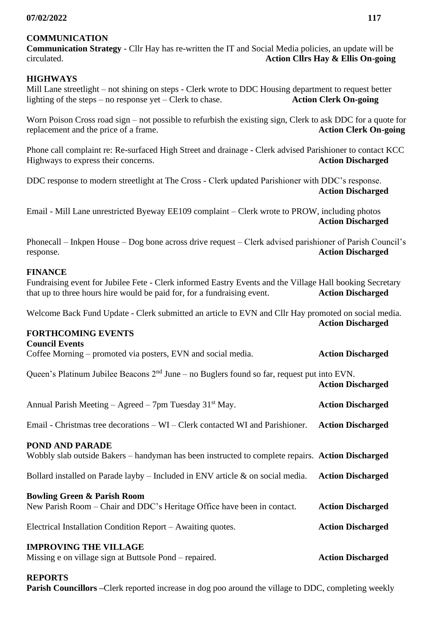## **COMMUNICATION**

**Communication Strategy** - Cllr Hay has re-written the IT and Social Media policies, an update will be circulated. **Action Cllrs Hay & Ellis On-going**

## **HIGHWAYS**

Mill Lane streetlight – not shining on steps - Clerk wrote to DDC Housing department to request better lighting of the steps – no response yet – Clerk to chase. **Action Clerk On-going**

Worn Poison Cross road sign – not possible to refurbish the existing sign, Clerk to ask DDC for a quote for replacement and the price of a frame. **Action Clerk On-going**

Phone call complaint re: Re-surfaced High Street and drainage - Clerk advised Parishioner to contact KCC Highways to express their concerns. **Action Discharged**

DDC response to modern streetlight at The Cross - Clerk updated Parishioner with DDC's response. **Action Discharged**

Email - Mill Lane unrestricted Byeway EE109 complaint – Clerk wrote to PROW, including photos **Action Discharged**

Phonecall – Inkpen House – Dog bone across drive request – Clerk advised parishioner of Parish Council's response. **Action Discharged**

### **FINANCE**

Fundraising event for Jubilee Fete - Clerk informed Eastry Events and the Village Hall booking Secretary that up to three hours hire would be paid for, for a fundraising event. **Action Discharged**

Welcome Back Fund Update - Clerk submitted an article to EVN and Cllr Hay promoted on social media. **Action Discharged**

#### **FORTHCOMING EVENTS**

**Council Events** Coffee Morning – promoted via posters, EVN and social media. **Action Discharged**

Queen's Platinum Jubilee Beacons  $2<sup>nd</sup>$  June – no Buglers found so far, request put into EVN. **Action Discharged**

| Annual Parish Meeting – Agreed – 7pm Tuesday $31st$ May.                                                                                                                         | <b>Action Discharged</b>                             |
|----------------------------------------------------------------------------------------------------------------------------------------------------------------------------------|------------------------------------------------------|
| Email - Christmas tree decorations – WI – Clerk contacted WI and Parishioner.                                                                                                    | <b>Action Discharged</b>                             |
| <b>POND AND PARADE</b><br>Wobbly slab outside Bakers – handyman has been instructed to complete repairs. Action Discharged                                                       |                                                      |
| Bollard installed on Parade layby – Included in ENV article $\&$ on social media.                                                                                                | <b>Action Discharged</b>                             |
| <b>Bowling Green &amp; Parish Room</b><br>New Parish Room – Chair and DDC's Heritage Office have been in contact.<br>Electrical Installation Condition Report – Awaiting quotes. | <b>Action Discharged</b><br><b>Action Discharged</b> |
| <b>IMPROVING THE VILLAGE</b><br>Missing e on village sign at Buttsole Pond – repaired.                                                                                           | <b>Action Discharged</b>                             |

## **REPORTS**

**Parish Councillors –**Clerk reported increase in dog poo around the village to DDC, completing weekly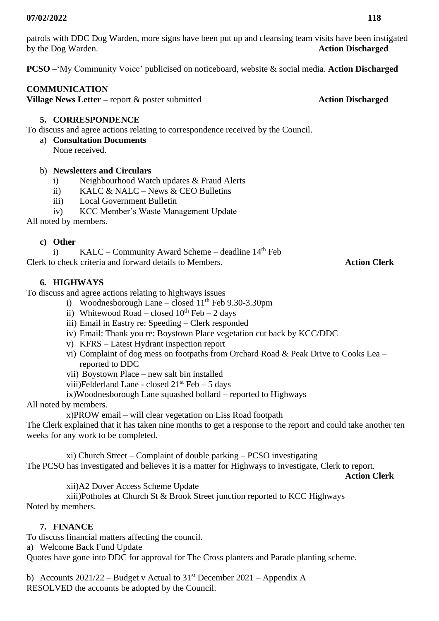patrols with DDC Dog Warden, more signs have been put up and cleansing team visits have been instigated by the Dog Warden. **Action Discharged**

**PCSO –**'My Community Voice' publicised on noticeboard, website & social media. **Action Discharged**

## **COMMUNICATION**

**Village News Letter** – report & poster submitted **Action Discharged** 

## **5. CORRESPONDENCE**

To discuss and agree actions relating to correspondence received by the Council.

- a) **Consultation Documents** 
	- None received.

## b) **Newsletters and Circulars**

- i) Neighbourhood Watch updates & Fraud Alerts
- ii) KALC & NALC News & CEO Bulletins
- iii) Local Government Bulletin
- iv) KCC Member's Waste Management Update

All noted by members.

## **c) Other**

i) KALC – Community Award Scheme – deadline  $14<sup>th</sup>$  Feb Clerk to check criteria and forward details to Members. **Action Clerk**

## **6. HIGHWAYS**

To discuss and agree actions relating to highways issues

- i) Woodnesborough Lane closed  $11<sup>th</sup>$  Feb 9.30-3.30pm
- ii) Whitewood Road closed  $10^{th}$  Feb 2 days
- iii) Email in Eastry re: Speeding Clerk responded
- iv) Email: Thank you re: Boystown Place vegetation cut back by KCC/DDC
- v) KFRS Latest Hydrant inspection report
- vi) Complaint of dog mess on footpaths from Orchard Road & Peak Drive to Cooks Lea reported to DDC
- vii) Boystown Place new salt bin installed
- viii)Felderland Lane closed  $21<sup>st</sup>$  Feb 5 days
- ix)Woodnesborough Lane squashed bollard reported to Highways

All noted by members.

x)PROW email – will clear vegetation on Liss Road footpath

The Clerk explained that it has taken nine months to get a response to the report and could take another ten weeks for any work to be completed.

xi) Church Street – Complaint of double parking – PCSO investigating The PCSO has investigated and believes it is a matter for Highways to investigate, Clerk to report. **Action Clerk**

xii)A2 Dover Access Scheme Update

xiii)Potholes at Church St & Brook Street junction reported to KCC Highways Noted by members.

# **7. FINANCE**

To discuss financial matters affecting the council.

a) Welcome Back Fund Update

Quotes have gone into DDC for approval for The Cross planters and Parade planting scheme.

b) Accounts  $2021/22$  – Budget v Actual to  $31<sup>st</sup>$  December  $2021$  – Appendix A RESOLVED the accounts be adopted by the Council.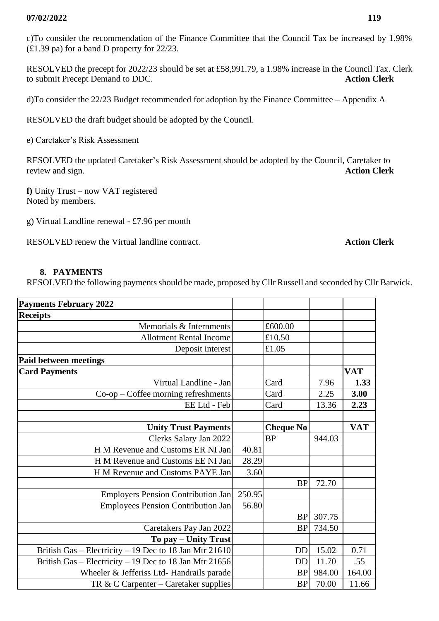c)To consider the recommendation of the Finance Committee that the Council Tax be increased by 1.98% (£1.39 pa) for a band D property for 22/23.

RESOLVED the precept for 2022/23 should be set at £58,991.79, a 1.98% increase in the Council Tax. Clerk to submit Precept Demand to DDC. **Action Clerk**

d)To consider the 22/23 Budget recommended for adoption by the Finance Committee – Appendix A

RESOLVED the draft budget should be adopted by the Council.

e) Caretaker's Risk Assessment

RESOLVED the updated Caretaker's Risk Assessment should be adopted by the Council, Caretaker to review and sign. **Action Clerk**

**f)** Unity Trust – now VAT registered Noted by members.

g) Virtual Landline renewal - £7.96 per month

RESOLVED renew the Virtual landline contract. **Action Clerk**

### **8. PAYMENTS**

RESOLVED the following payments should be made, proposed by Cllr Russell and seconded by Cllr Barwick.

| <b>Payments February 2022</b>                          |        |                  |        |            |
|--------------------------------------------------------|--------|------------------|--------|------------|
| <b>Receipts</b>                                        |        |                  |        |            |
| Memorials & Internments                                |        | £600.00          |        |            |
| <b>Allotment Rental Income</b>                         |        | £10.50           |        |            |
| Deposit interest                                       |        | £1.05            |        |            |
| <b>Paid between meetings</b>                           |        |                  |        |            |
| <b>Card Payments</b>                                   |        |                  |        | <b>VAT</b> |
| Virtual Landline - Jan                                 |        | Card             | 7.96   | 1.33       |
| $Co$ -op – Coffee morning refreshments                 |        | Card             | 2.25   | 3.00       |
| EE Ltd - Feb                                           |        | Card             | 13.36  | 2.23       |
|                                                        |        |                  |        |            |
| <b>Unity Trust Payments</b>                            |        | <b>Cheque No</b> |        | <b>VAT</b> |
| Clerks Salary Jan 2022                                 |        | <b>BP</b>        | 944.03 |            |
| H M Revenue and Customs ER NI Jan                      | 40.81  |                  |        |            |
| H M Revenue and Customs EE NI Jan                      | 28.29  |                  |        |            |
| H M Revenue and Customs PAYE Jan                       | 3.60   |                  |        |            |
|                                                        |        | <b>BP</b>        | 72.70  |            |
| <b>Employers Pension Contribution Jan</b>              | 250.95 |                  |        |            |
| <b>Employees Pension Contribution Jan</b>              | 56.80  |                  |        |            |
|                                                        |        | <b>BP</b>        | 307.75 |            |
| Caretakers Pay Jan 2022                                |        | <b>BP</b>        | 734.50 |            |
| To pay – Unity Trust                                   |        |                  |        |            |
| British Gas - Electricity - 19 Dec to 18 Jan Mtr 21610 |        | <b>DD</b>        | 15.02  | 0.71       |
| British Gas - Electricity - 19 Dec to 18 Jan Mtr 21656 |        | <b>DD</b>        | 11.70  | .55        |
| Wheeler & Jefferiss Ltd- Handrails parade              |        | <b>BP</b>        | 984.00 | 164.00     |
| TR & C Carpenter – Caretaker supplies                  |        | <b>BP</b>        | 70.00  | 11.66      |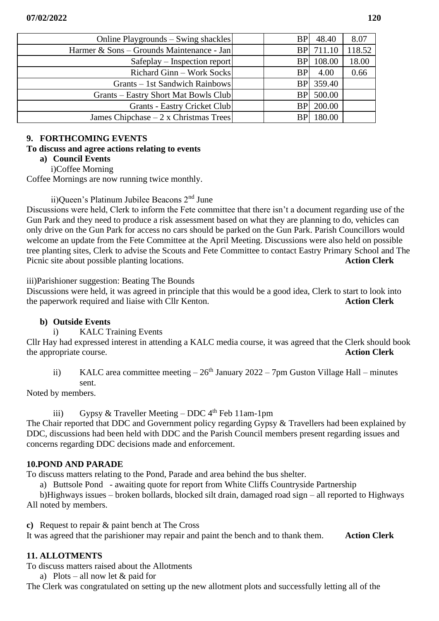| Online Playgrounds – Swing shackles       | <b>BP</b>  | 48.40     | 8.07   |
|-------------------------------------------|------------|-----------|--------|
| Harmer & Sons – Grounds Maintenance - Jan | <b>BPI</b> | 711.10    | 118.52 |
| $S$ afeplay – Inspection report           | <b>BP</b>  | 108.00    | 18.00  |
| Richard Ginn – Work Socks                 | <b>BP</b>  | 4.00      | 0.66   |
| Grants – 1st Sandwich Rainbows            | <b>BP</b>  | 359.40    |        |
| Grants – Eastry Short Mat Bowls Club      |            | BP 500.00 |        |
| <b>Grants - Eastry Cricket Club</b>       | <b>BP</b>  | 200.00    |        |
| James Chipchase $-2x$ Christmas Trees     |            | 180.00    |        |

## **9. FORTHCOMING EVENTS**

### **To discuss and agree actions relating to events**

## **a) Council Events**

i)Coffee Morning

Coffee Mornings are now running twice monthly.

ii)Queen's Platinum Jubilee Beacons 2nd June

Discussions were held, Clerk to inform the Fete committee that there isn't a document regarding use of the Gun Park and they need to produce a risk assessment based on what they are planning to do, vehicles can only drive on the Gun Park for access no cars should be parked on the Gun Park. Parish Councillors would welcome an update from the Fete Committee at the April Meeting. Discussions were also held on possible tree planting sites, Clerk to advise the Scouts and Fete Committee to contact Eastry Primary School and The Picnic site about possible planting locations. **Action Clerk**

iii)Parishioner suggestion: Beating The Bounds

Discussions were held, it was agreed in principle that this would be a good idea, Clerk to start to look into the paperwork required and liaise with Cllr Kenton. **Action Clerk**

## **b) Outside Events**

i) KALC Training Events

Cllr Hay had expressed interest in attending a KALC media course, it was agreed that the Clerk should book the appropriate course. **Action Clerk**

ii) KALC area committee meeting  $-26<sup>th</sup>$  January 2022 – 7pm Guston Village Hall – minutes sent.

Noted by members.

iii) Gypsy & Traveller Meeting – DDC  $4<sup>th</sup>$  Feb 11am-1pm

The Chair reported that DDC and Government policy regarding Gypsy & Travellers had been explained by DDC, discussions had been held with DDC and the Parish Council members present regarding issues and concerns regarding DDC decisions made and enforcement.

## **10.POND AND PARADE**

To discuss matters relating to the Pond, Parade and area behind the bus shelter.

a) Buttsole Pond - awaiting quote for report from White Cliffs Countryside Partnership

b)Highways issues – broken bollards, blocked silt drain, damaged road sign – all reported to Highways All noted by members.

**c)** Request to repair & paint bench at The Cross

It was agreed that the parishioner may repair and paint the bench and to thank them. **Action Clerk**

## **11. ALLOTMENTS**

To discuss matters raised about the Allotments

a) Plots – all now let  $&$  paid for

The Clerk was congratulated on setting up the new allotment plots and successfully letting all of the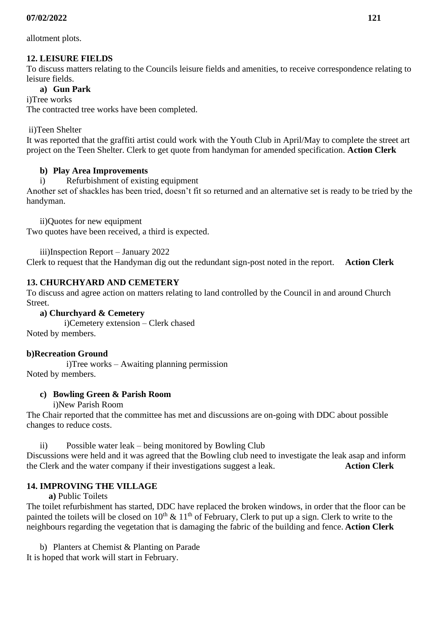allotment plots.

# **12. LEISURE FIELDS**

To discuss matters relating to the Councils leisure fields and amenities, to receive correspondence relating to leisure fields.

# **a) Gun Park**

i)Tree works

The contracted tree works have been completed.

ii)Teen Shelter

It was reported that the graffiti artist could work with the Youth Club in April/May to complete the street art project on the Teen Shelter. Clerk to get quote from handyman for amended specification. **Action Clerk**

# **b) Play Area Improvements**

i) Refurbishment of existing equipment

Another set of shackles has been tried, doesn't fit so returned and an alternative set is ready to be tried by the handyman.

ii)Quotes for new equipment Two quotes have been received, a third is expected.

iii)Inspection Report – January 2022

Clerk to request that the Handyman dig out the redundant sign-post noted in the report. **Action Clerk**

# **13. CHURCHYARD AND CEMETERY**

To discuss and agree action on matters relating to land controlled by the Council in and around Church Street.

## **a) Churchyard & Cemetery**

 i)Cemetery extension – Clerk chased Noted by members.

# **b)Recreation Ground**

i)Tree works – Awaiting planning permission Noted by members.

# **c) Bowling Green & Parish Room**

## i)New Parish Room

The Chair reported that the committee has met and discussions are on-going with DDC about possible changes to reduce costs.

ii) Possible water leak – being monitored by Bowling Club Discussions were held and it was agreed that the Bowling club need to investigate the leak asap and inform the Clerk and the water company if their investigations suggest a leak. **Action Clerk**

# **14. IMPROVING THE VILLAGE**

 **a)** Public Toilets

The toilet refurbishment has started, DDC have replaced the broken windows, in order that the floor can be painted the toilets will be closed on  $10^{th} \& 11^{th}$  of February, Clerk to put up a sign. Clerk to write to the neighbours regarding the vegetation that is damaging the fabric of the building and fence. **Action Clerk**

b) Planters at Chemist & Planting on Parade It is hoped that work will start in February.